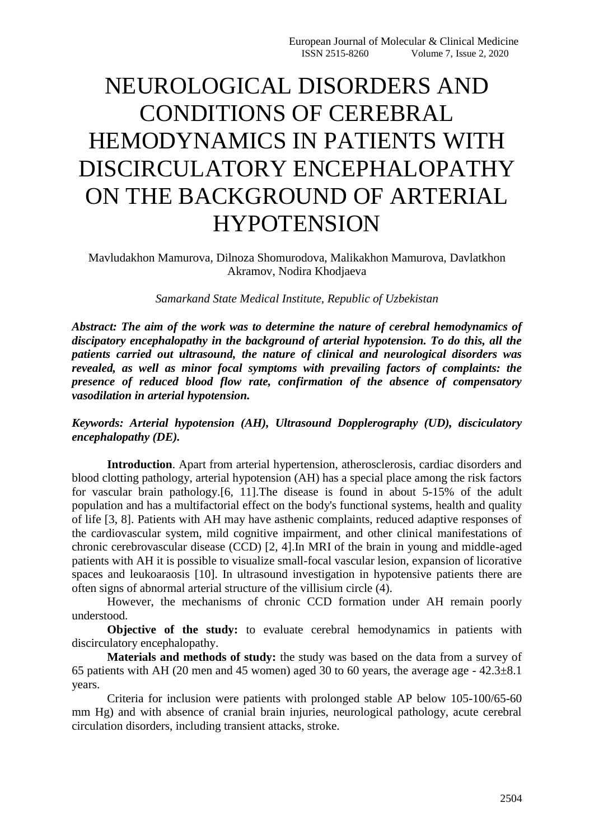## NEUROLOGICAL DISORDERS AND CONDITIONS OF CEREBRAL HEMODYNAMICS IN PATIENTS WITH DISCIRCULATORY ENCEPHALOPATHY ON THE BACKGROUND OF ARTERIAL **HYPOTENSION**

Mavludakhon Mamurova, Dilnoza Shomurodova, Malikakhon Mamurova, Davlatkhon Akramov, Nodira Khodjaeva

## *Samarkand State Medical Institute, Republic of Uzbekistan*

*Abstract: The aim of the work was to determine the nature of cerebral hemodynamics of discipatory encephalopathy in the background of arterial hypotension. To do this, all the patients carried out ultrasound, the nature of clinical and neurological disorders was revealed, as well as minor focal symptoms with prevailing factors of complaints: the presence of reduced blood flow rate, confirmation of the absence of compensatory vasodilation in arterial hypotension.*

## *Keywords: Arterial hypotension (AH), Ultrasound Dopplerography (UD), disciculatory encephalopathy (DE).*

**Introduction**. Apart from arterial hypertension, atherosclerosis, cardiac disorders and blood clotting pathology, arterial hypotension (AH) has a special place among the risk factors for vascular brain pathology.[6, 11].The disease is found in about 5-15% of the adult population and has a multifactorial effect on the body's functional systems, health and quality of life [3, 8]. Patients with AH may have asthenic complaints, reduced adaptive responses of the cardiovascular system, mild cognitive impairment, and other clinical manifestations of chronic cerebrovascular disease (CCD) [2, 4].In MRI of the brain in young and middle-aged patients with AH it is possible to visualize small-focal vascular lesion, expansion of licorative spaces and leukoaraosis [10]. In ultrasound investigation in hypotensive patients there are often signs of abnormal arterial structure of the villisium circle (4).

However, the mechanisms of chronic CCD formation under AH remain poorly understood.

**Objective of the study:** to evaluate cerebral hemodynamics in patients with discirculatory encephalopathy.

**Materials and methods of study:** the study was based on the data from a survey of 65 patients with AH (20 men and 45 women) aged 30 to 60 years, the average age - 42.3±8.1 years.

Criteria for inclusion were patients with prolonged stable AP below 105-100/65-60 mm Hg) and with absence of cranial brain injuries, neurological pathology, acute cerebral circulation disorders, including transient attacks, stroke.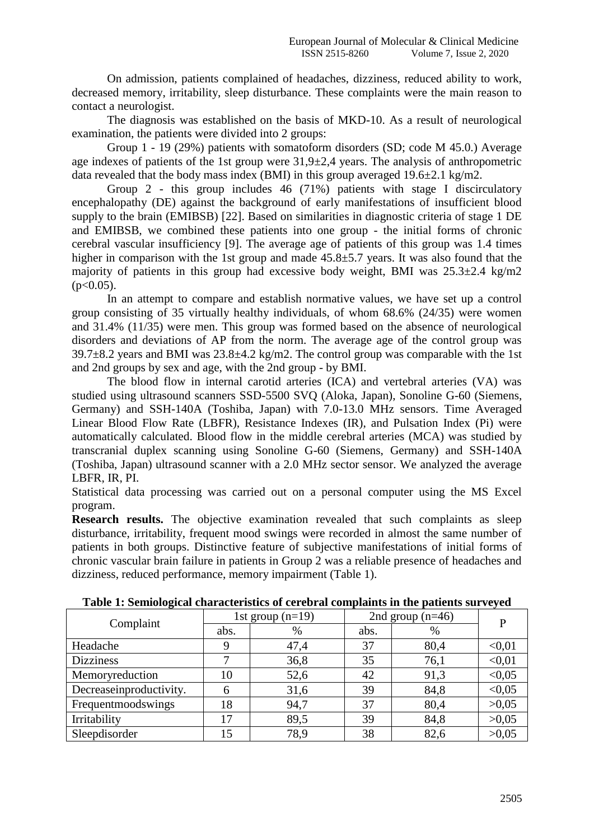On admission, patients complained of headaches, dizziness, reduced ability to work, decreased memory, irritability, sleep disturbance. These complaints were the main reason to contact a neurologist.

The diagnosis was established on the basis of MKD-10. As a result of neurological examination, the patients were divided into 2 groups:

Group 1 - 19 (29%) patients with somatoform disorders (SD; code M 45.0.) Average age indexes of patients of the 1st group were 31,9±2,4 years. The analysis of anthropometric data revealed that the body mass index (BMI) in this group averaged  $19.6\pm2.1$  kg/m2.

Group 2 - this group includes 46 (71%) patients with stage I discirculatory encephalopathy (DE) against the background of early manifestations of insufficient blood supply to the brain (EMIBSB) [22]. Based on similarities in diagnostic criteria of stage 1 DE and EMIBSB, we combined these patients into one group - the initial forms of chronic cerebral vascular insufficiency [9]. The average age of patients of this group was 1.4 times higher in comparison with the 1st group and made  $45.8\pm5.7$  years. It was also found that the majority of patients in this group had excessive body weight, BMI was  $25.3\pm2.4$  kg/m2  $(p<0.05)$ .

In an attempt to compare and establish normative values, we have set up a control group consisting of 35 virtually healthy individuals, of whom 68.6% (24/35) were women and 31.4% (11/35) were men. This group was formed based on the absence of neurological disorders and deviations of AP from the norm. The average age of the control group was  $39.7\pm8.2$  years and BMI was  $23.8\pm4.2$  kg/m2. The control group was comparable with the 1st and 2nd groups by sex and age, with the 2nd group - by BMI.

The blood flow in internal carotid arteries (ICA) and vertebral arteries (VA) was studied using ultrasound scanners SSD-5500 SVQ (Aloka, Japan), Sonoline G-60 (Siemens, Germany) and SSH-140A (Toshiba, Japan) with 7.0-13.0 MHz sensors. Time Averaged Linear Blood Flow Rate (LBFR), Resistance Indexes (IR), and Pulsation Index (Pi) were automatically calculated. Blood flow in the middle cerebral arteries (MCA) was studied by transcranial duplex scanning using Sonoline G-60 (Siemens, Germany) and SSH-140A (Toshiba, Japan) ultrasound scanner with a 2.0 MHz sector sensor. We analyzed the average LBFR, IR, PI.

Statistical data processing was carried out on a personal computer using the MS Excel program.

**Research results.** The objective examination revealed that such complaints as sleep disturbance, irritability, frequent mood swings were recorded in almost the same number of patients in both groups. Distinctive feature of subjective manifestations of initial forms of chronic vascular brain failure in patients in Group 2 was a reliable presence of headaches and dizziness, reduced performance, memory impairment (Table 1).

| Complaint               | 1st group $(n=19)$ |      | 2nd group $(n=46)$ |      | D      |
|-------------------------|--------------------|------|--------------------|------|--------|
|                         | abs.               | $\%$ | abs.               | $\%$ |        |
| Headache                |                    | 47,4 | 37                 | 80,4 | < 0.01 |
| <b>Dizziness</b>        |                    | 36,8 | 35                 | 76,1 | < 0.01 |
| Memoryreduction         | 10                 | 52,6 | 42                 | 91,3 | < 0.05 |
| Decreaseinproductivity. | 6                  | 31,6 | 39                 | 84,8 | < 0.05 |
| Frequentmoodswings      | 18                 | 94,7 | 37                 | 80,4 | >0,05  |
| Irritability            | 17                 | 89,5 | 39                 | 84,8 | >0,05  |
| Sleepdisorder           | 15                 | 78,9 | 38                 | 82,6 | >0,05  |

**Table 1: Semiological characteristics of cerebral complaints in the patients surveyed**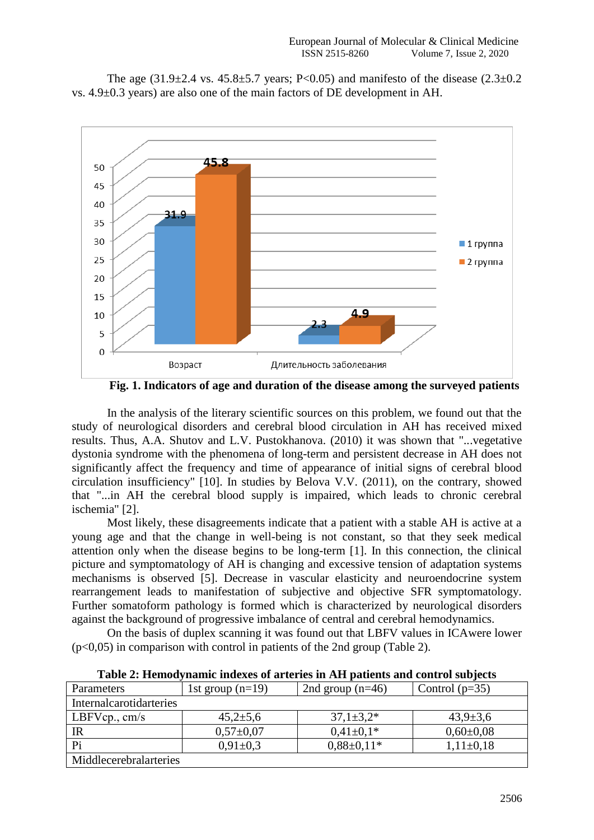The age  $(31.9\pm 2.4 \text{ vs. } 45.8\pm 5.7 \text{ years}; P<0.05)$  and manifesto of the disease  $(2.3\pm 0.2 \text{ m})$ vs. 4.9±0.3 years) are also one of the main factors of DE development in AH.



**Fig. 1. Indicators of age and duration of the disease among the surveyed patients**

In the analysis of the literary scientific sources on this problem, we found out that the study of neurological disorders and cerebral blood circulation in AH has received mixed results. Thus, A.A. Shutov and L.V. Pustokhanova. (2010) it was shown that "...vegetative dystonia syndrome with the phenomena of long-term and persistent decrease in AH does not significantly affect the frequency and time of appearance of initial signs of cerebral blood circulation insufficiency" [10]. In studies by Belova V.V. (2011), on the contrary, showed that "...in AH the cerebral blood supply is impaired, which leads to chronic cerebral ischemia" [2].

Most likely, these disagreements indicate that a patient with a stable AH is active at a young age and that the change in well-being is not constant, so that they seek medical attention only when the disease begins to be long-term [1]. In this connection, the clinical picture and symptomatology of AH is changing and excessive tension of adaptation systems mechanisms is observed [5]. Decrease in vascular elasticity and neuroendocrine system rearrangement leads to manifestation of subjective and objective SFR symptomatology. Further somatoform pathology is formed which is characterized by neurological disorders against the background of progressive imbalance of central and cerebral hemodynamics.

On the basis of duplex scanning it was found out that LBFV values in ICAwere lower  $(p<0,05)$  in comparison with control in patients of the 2nd group (Table 2).

| Parameters              | 1st group $(n=19)$ | 2nd group $(n=46)$ | Control $(p=35)$ |  |  |  |
|-------------------------|--------------------|--------------------|------------------|--|--|--|
| Internalcarotidarteries |                    |                    |                  |  |  |  |
| LBFVcp., $cm/s$         | $45,2{\pm}5,6$     | $37,1 \pm 3,2*$    | $43,9 \pm 3,6$   |  |  |  |
| IR                      | $0,57\pm0,07$      | $0.41 \pm 0.1*$    | $0.60 \pm 0.08$  |  |  |  |
| P <sub>i</sub>          | $0,91\pm0,3$       | $0.88 \pm 0.11*$   | $1,11\pm0,18$    |  |  |  |
| Middlecerebralarteries  |                    |                    |                  |  |  |  |

**Table 2: Hemodynamic indexes of arteries in AH patients and control subjects**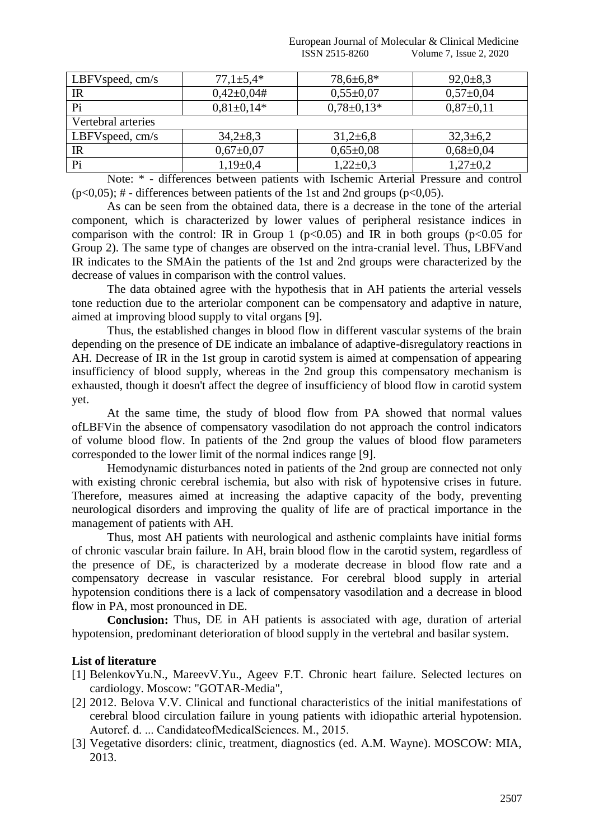European Journal of Molecular & Clinical Medicine ISSN 2515-8260 Volume 7, Issue 2, 2020

| LBFV speed, $cm/s$ | $77,1 \pm 5,4*$  | 78,6±6,8*        | $92,0+8,3$      |
|--------------------|------------------|------------------|-----------------|
| $_{\rm IR}$        | $0,42\pm0,04\#$  | $0,55 \pm 0.07$  | $0,57\pm0,04$   |
| Pi                 | $0.81 \pm 0.14*$ | $0.78 \pm 0.13*$ | $0,87\pm0,11$   |
| Vertebral arteries |                  |                  |                 |
| LBFV speed, $cm/s$ | $34,2 \pm 8,3$   | $31,2+6,8$       | $32,3+6,2$      |
| $_{\rm IR}$        | $0,67{\pm}0,07$  | $0,65 \pm 0,08$  | $0,68 \pm 0,04$ |
| Pi                 | $1,19\pm0.4$     | $1,22\pm0,3$     | $1,27\pm0,2$    |

Note: \* - differences between patients with Ischemic Arterial Pressure and control  $(p<0.05)$ ; # - differences between patients of the 1st and 2nd groups ( $p<0.05$ ).

As can be seen from the obtained data, there is a decrease in the tone of the arterial component, which is characterized by lower values of peripheral resistance indices in comparison with the control: IR in Group 1 ( $p<0.05$ ) and IR in both groups ( $p<0.05$  for Group 2). The same type of changes are observed on the intra-cranial level. Thus, LBFVand IR indicates to the SMAin the patients of the 1st and 2nd groups were characterized by the decrease of values in comparison with the control values.

The data obtained agree with the hypothesis that in AH patients the arterial vessels tone reduction due to the arteriolar component can be compensatory and adaptive in nature, aimed at improving blood supply to vital organs [9].

Thus, the established changes in blood flow in different vascular systems of the brain depending on the presence of DE indicate an imbalance of adaptive-disregulatory reactions in AH. Decrease of IR in the 1st group in carotid system is aimed at compensation of appearing insufficiency of blood supply, whereas in the 2nd group this compensatory mechanism is exhausted, though it doesn't affect the degree of insufficiency of blood flow in carotid system yet.

At the same time, the study of blood flow from PA showed that normal values ofLBFVin the absence of compensatory vasodilation do not approach the control indicators of volume blood flow. In patients of the 2nd group the values of blood flow parameters corresponded to the lower limit of the normal indices range [9].

Hemodynamic disturbances noted in patients of the 2nd group are connected not only with existing chronic cerebral ischemia, but also with risk of hypotensive crises in future. Therefore, measures aimed at increasing the adaptive capacity of the body, preventing neurological disorders and improving the quality of life are of practical importance in the management of patients with AH.

Thus, most AH patients with neurological and asthenic complaints have initial forms of chronic vascular brain failure. In AH, brain blood flow in the carotid system, regardless of the presence of DE, is characterized by a moderate decrease in blood flow rate and a compensatory decrease in vascular resistance. For cerebral blood supply in arterial hypotension conditions there is a lack of compensatory vasodilation and a decrease in blood flow in PA, most pronounced in DE.

**Conclusion:** Thus, DE in AH patients is associated with age, duration of arterial hypotension, predominant deterioration of blood supply in the vertebral and basilar system.

## **List of literature**

- [1] BelenkovYu.N., MareevV.Yu., Ageev F.T. Chronic heart failure. Selected lectures on cardiology. Moscow: "GOTAR-Media",
- [2] 2012. Belova V.V. Clinical and functional characteristics of the initial manifestations of cerebral blood circulation failure in young patients with idiopathic arterial hypotension. Autoref. d. ... CandidateofMedicalSciences. М., 2015.
- [3] Vegetative disorders: clinic, treatment, diagnostics (ed. A.M. Wayne). MOSCOW: MIA, 2013.